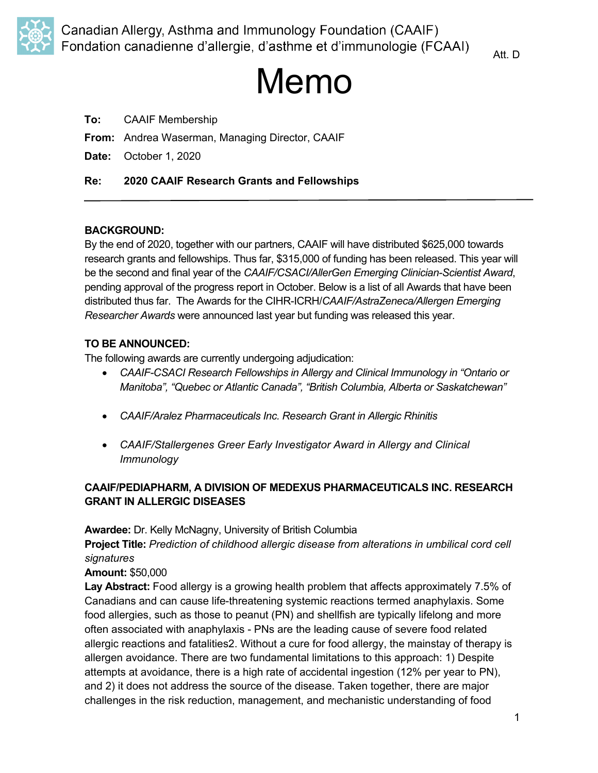

Att. D

# Memo

- **To:** CAAIF Membership
- **From:** Andrea Waserman, Managing Director, CAAIF
- **Date:** October 1, 2020

## **Re: 2020 CAAIF Research Grants and Fellowships**

## **BACKGROUND:**

By the end of 2020, together with our partners, CAAIF will have distributed \$625,000 towards research grants and fellowships. Thus far, \$315,000 of funding has been released. This year will be the second and final year of the *CAAIF/CSACI/AllerGen Emerging Clinician-Scientist Award*, pending approval of the progress report in October. Below is a list of all Awards that have been distributed thus far. The Awards for the CIHR-ICRH/*CAAIF/AstraZeneca/Allergen Emerging Researcher Awards* were announced last year but funding was released this year.

## **TO BE ANNOUNCED:**

The following awards are currently undergoing adjudication:

- *CAAIF-CSACI Research Fellowships in Allergy and Clinical Immunology in "Ontario or Manitoba", "Quebec or Atlantic Canada", "British Columbia, Alberta or Saskatchewan"*
- *CAAIF/Aralez Pharmaceuticals Inc. Research Grant in Allergic Rhinitis*
- *CAAIF/Stallergenes Greer Early Investigator Award in Allergy and Clinical Immunology*

## **CAAIF/PEDIAPHARM, A DIVISION OF MEDEXUS PHARMACEUTICALS INC. RESEARCH GRANT IN ALLERGIC DISEASES**

**Awardee:** Dr. Kelly McNagny, University of British Columbia

**Project Title:** *Prediction of childhood allergic disease from alterations in umbilical cord cell signatures*

**Amount:** \$50,000

**Lay Abstract:** Food allergy is a growing health problem that affects approximately 7.5% of Canadians and can cause life-threatening systemic reactions termed anaphylaxis. Some food allergies, such as those to peanut (PN) and shellfish are typically lifelong and more often associated with anaphylaxis - PNs are the leading cause of severe food related allergic reactions and fatalities2. Without a cure for food allergy, the mainstay of therapy is allergen avoidance. There are two fundamental limitations to this approach: 1) Despite attempts at avoidance, there is a high rate of accidental ingestion (12% per year to PN), and 2) it does not address the source of the disease. Taken together, there are major challenges in the risk reduction, management, and mechanistic understanding of food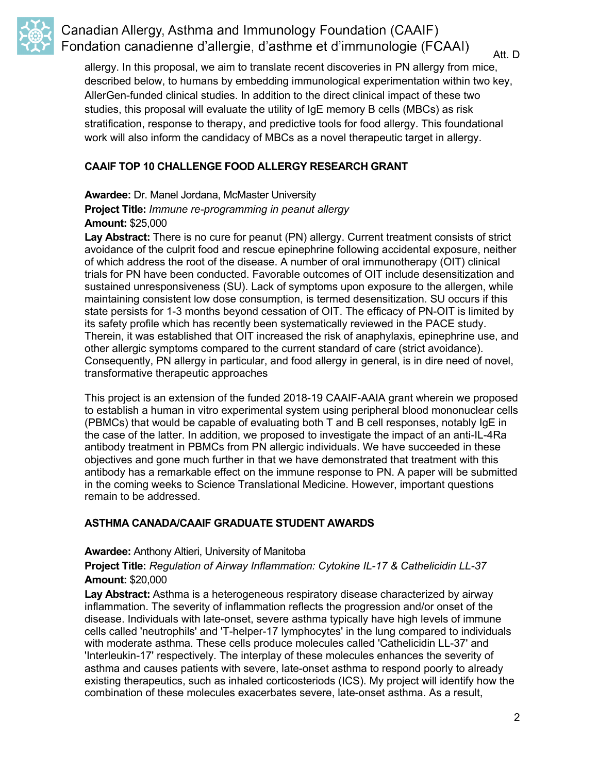

## Canadian Allergy, Asthma and Immunology Foundation (CAAIF) Fondation canadienne d'allergie, d'asthme et d'immunologie (FCAAI)

Att. D

allergy. In this proposal, we aim to translate recent discoveries in PN allergy from mice, described below, to humans by embedding immunological experimentation within two key, AllerGen-funded clinical studies. In addition to the direct clinical impact of these two studies, this proposal will evaluate the utility of IgE memory B cells (MBCs) as risk stratification, response to therapy, and predictive tools for food allergy. This foundational work will also inform the candidacy of MBCs as a novel therapeutic target in allergy.

## **CAAIF TOP 10 CHALLENGE FOOD ALLERGY RESEARCH GRANT**

**Awardee:** Dr. Manel Jordana, McMaster University **Project Title:** *Immune re-programming in peanut allergy* **Amount:** \$25,000

Lay Abstract: There is no cure for peanut (PN) allergy. Current treatment consists of strict avoidance of the culprit food and rescue epinephrine following accidental exposure, neither of which address the root of the disease. A number of oral immunotherapy (OIT) clinical trials for PN have been conducted. Favorable outcomes of OIT include desensitization and sustained unresponsiveness (SU). Lack of symptoms upon exposure to the allergen, while maintaining consistent low dose consumption, is termed desensitization. SU occurs if this state persists for 1-3 months beyond cessation of OIT. The efficacy of PN-OIT is limited by its safety profile which has recently been systematically reviewed in the PACE study. Therein, it was established that OIT increased the risk of anaphylaxis, epinephrine use, and other allergic symptoms compared to the current standard of care (strict avoidance). Consequently, PN allergy in particular, and food allergy in general, is in dire need of novel, transformative therapeutic approaches

This project is an extension of the funded 2018-19 CAAIF-AAIA grant wherein we proposed to establish a human in vitro experimental system using peripheral blood mononuclear cells (PBMCs) that would be capable of evaluating both T and B cell responses, notably IgE in the case of the latter. In addition, we proposed to investigate the impact of an anti-IL-4Ra antibody treatment in PBMCs from PN allergic individuals. We have succeeded in these objectives and gone much further in that we have demonstrated that treatment with this antibody has a remarkable effect on the immune response to PN. A paper will be submitted in the coming weeks to Science Translational Medicine. However, important questions remain to be addressed.

## **ASTHMA CANADA/CAAIF GRADUATE STUDENT AWARDS**

**Awardee:** Anthony Altieri, University of Manitoba

**Project Title:** *Regulation of Airway Inflammation: Cytokine IL-17 & Cathelicidin LL-37* **Amount:** \$20,000

**Lay Abstract:** Asthma is a heterogeneous respiratory disease characterized by airway inflammation. The severity of inflammation reflects the progression and/or onset of the disease. Individuals with late-onset, severe asthma typically have high levels of immune cells called 'neutrophils' and 'T-helper-17 lymphocytes' in the lung compared to individuals with moderate asthma. These cells produce molecules called 'Cathelicidin LL-37' and 'Interleukin-17' respectively. The interplay of these molecules enhances the severity of asthma and causes patients with severe, late-onset asthma to respond poorly to already existing therapeutics, such as inhaled corticosteriods (ICS). My project will identify how the combination of these molecules exacerbates severe, late-onset asthma. As a result,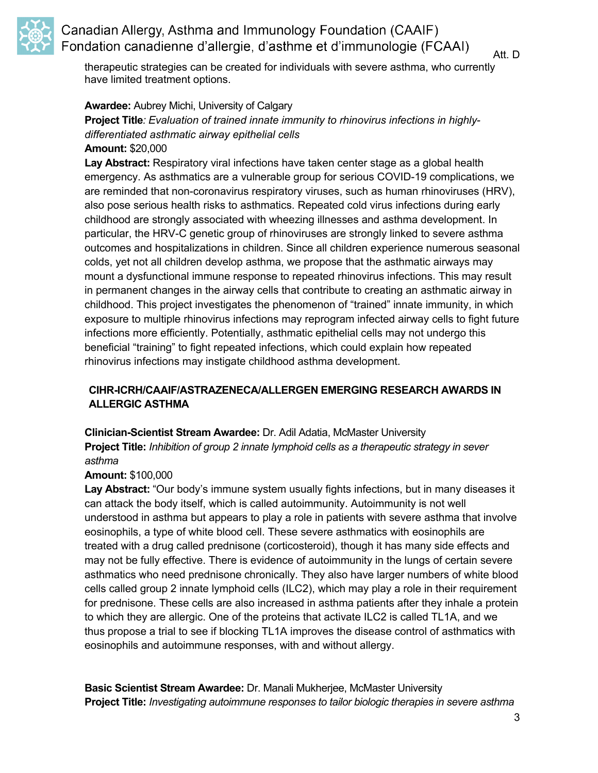

## Canadian Allergy, Asthma and Immunology Foundation (CAAIF) Fondation canadienne d'allergie, d'asthme et d'immunologie (FCAAI)

Att. D

therapeutic strategies can be created for individuals with severe asthma, who currently have limited treatment options.

## **Awardee:** Aubrey Michi, University of Calgary

**Project Title***: Evaluation of trained innate immunity to rhinovirus infections in highlydifferentiated asthmatic airway epithelial cells* **Amount:** \$20,000

**Lay Abstract:** Respiratory viral infections have taken center stage as a global health emergency. As asthmatics are a vulnerable group for serious COVID-19 complications, we are reminded that non-coronavirus respiratory viruses, such as human rhinoviruses (HRV), also pose serious health risks to asthmatics. Repeated cold virus infections during early childhood are strongly associated with wheezing illnesses and asthma development. In particular, the HRV-C genetic group of rhinoviruses are strongly linked to severe asthma outcomes and hospitalizations in children. Since all children experience numerous seasonal colds, yet not all children develop asthma, we propose that the asthmatic airways may mount a dysfunctional immune response to repeated rhinovirus infections. This may result in permanent changes in the airway cells that contribute to creating an asthmatic airway in childhood. This project investigates the phenomenon of "trained" innate immunity, in which exposure to multiple rhinovirus infections may reprogram infected airway cells to fight future infections more efficiently. Potentially, asthmatic epithelial cells may not undergo this beneficial "training" to fight repeated infections, which could explain how repeated rhinovirus infections may instigate childhood asthma development.

## **CIHR-ICRH/CAAIF/ASTRAZENECA/ALLERGEN EMERGING RESEARCH AWARDS IN ALLERGIC ASTHMA**

**Clinician-Scientist Stream Awardee:** Dr. Adil Adatia, McMaster University

**Project Title:** *Inhibition of group 2 innate lymphoid cells as a therapeutic strategy in sever asthma*

## **Amount:** \$100,000

Lay Abstract: "Our body's immune system usually fights infections, but in many diseases it can attack the body itself, which is called autoimmunity. Autoimmunity is not well understood in asthma but appears to play a role in patients with severe asthma that involve eosinophils, a type of white blood cell. These severe asthmatics with eosinophils are treated with a drug called prednisone (corticosteroid), though it has many side effects and may not be fully effective. There is evidence of autoimmunity in the lungs of certain severe asthmatics who need prednisone chronically. They also have larger numbers of white blood cells called group 2 innate lymphoid cells (ILC2), which may play a role in their requirement for prednisone. These cells are also increased in asthma patients after they inhale a protein to which they are allergic. One of the proteins that activate ILC2 is called TL1A, and we thus propose a trial to see if blocking TL1A improves the disease control of asthmatics with eosinophils and autoimmune responses, with and without allergy.

**Basic Scientist Stream Awardee:** Dr. Manali Mukherjee, McMaster University **Project Title:** *Investigating autoimmune responses to tailor biologic therapies in severe asthma*